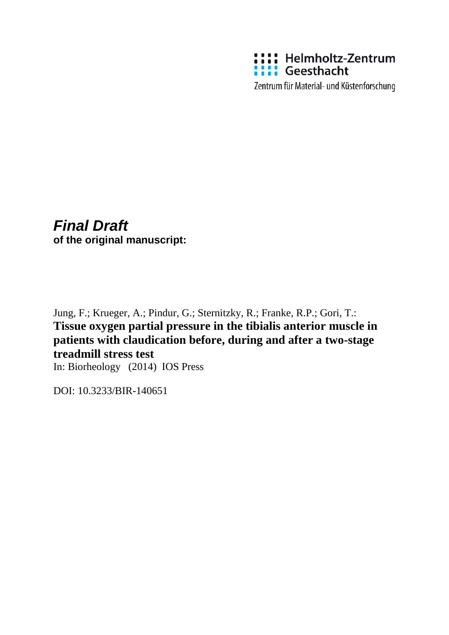

Zentrum für Material- und Küstenforschung

# *Final Draft* **of the original manuscript:**

Jung, F.; Krueger, A.; Pindur, G.; Sternitzky, R.; Franke, R.P.; Gori, T.: **Tissue oxygen partial pressure in the tibialis anterior muscle in patients with claudication before, during and after a two-stage treadmill stress test**

In: Biorheology (2014) IOS Press

DOI: 10.3233/BIR-140651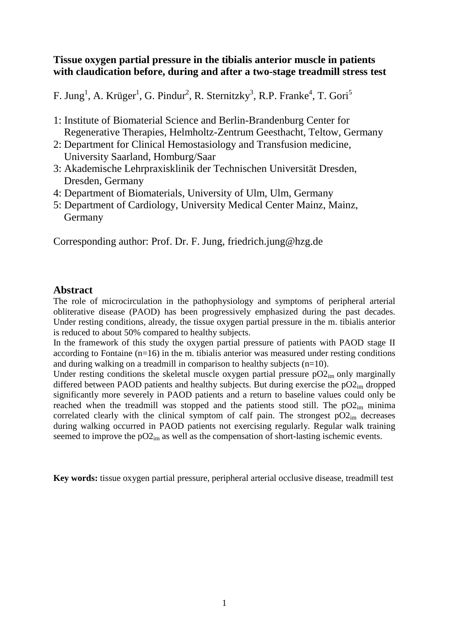#### **Tissue oxygen partial pressure in the tibialis anterior muscle in patients with claudication before, during and after a two-stage treadmill stress test**

F. Jung<sup>1</sup>, A. Krüger<sup>1</sup>, G. Pindur<sup>2</sup>, R. Sternitzky<sup>3</sup>, R.P. Franke<sup>4</sup>, T. Gori<sup>5</sup>

- 1: Institute of Biomaterial Science and Berlin-Brandenburg Center for Regenerative Therapies, Helmholtz-Zentrum Geesthacht, Teltow, Germany
- 2: Department for Clinical Hemostasiology and Transfusion medicine, University Saarland, Homburg/Saar
- 3: Akademische Lehrpraxisklinik der Technischen Universität Dresden, Dresden, Germany
- 4: Department of Biomaterials, University of Ulm, Ulm, Germany
- 5: Department of Cardiology, University Medical Center Mainz, Mainz, Germany

Corresponding author: Prof. Dr. F. Jung, friedrich.jung@hzg.de

### **Abstract**

The role of microcirculation in the pathophysiology and symptoms of peripheral arterial obliterative disease (PAOD) has been progressively emphasized during the past decades. Under resting conditions, already, the tissue oxygen partial pressure in the m. tibialis anterior is reduced to about 50% compared to healthy subjects.

In the framework of this study the oxygen partial pressure of patients with PAOD stage II according to Fontaine (n=16) in the m. tibialis anterior was measured under resting conditions and during walking on a treadmill in comparison to healthy subjects (n=10).

Under resting conditions the skeletal muscle oxygen partial pressure  $pO2<sub>im</sub>$  only marginally differed between PAOD patients and healthy subjects. But during exercise the  $pO2<sub>im</sub>$  dropped significantly more severely in PAOD patients and a return to baseline values could only be reached when the treadmill was stopped and the patients stood still. The  $pO2<sub>im</sub>$  minima correlated clearly with the clinical symptom of calf pain. The strongest  $pO2<sub>im</sub>$  decreases during walking occurred in PAOD patients not exercising regularly. Regular walk training seemed to improve the  $pO2<sub>im</sub>$  as well as the compensation of short-lasting ischemic events.

**Key words:** tissue oxygen partial pressure, peripheral arterial occlusive disease, treadmill test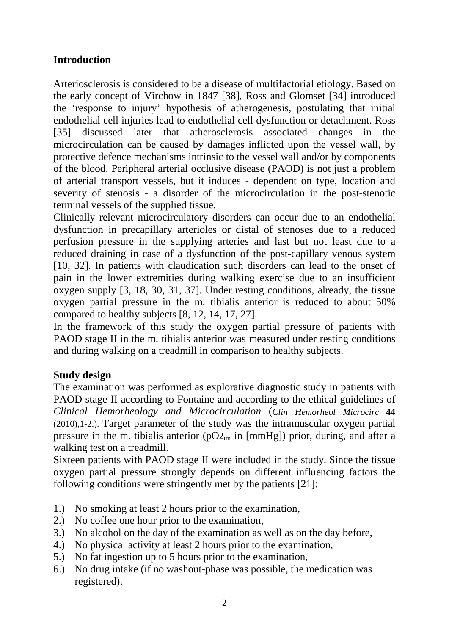# **Introduction**

Arteriosclerosis is considered to be a disease of multifactorial etiology. Based on the early concept of Virchow in 1847 [38], Ross and Glomset [34] introduced the 'response to injury' hypothesis of atherogenesis, postulating that initial endothelial cell injuries lead to endothelial cell dysfunction or detachment. Ross [35] discussed later that atherosclerosis associated changes in the microcirculation can be caused by damages inflicted upon the vessel wall, by protective defence mechanisms intrinsic to the vessel wall and/or by components of the blood. Peripheral arterial occlusive disease (PAOD) is not just a problem of arterial transport vessels, but it induces - dependent on type, location and severity of stenosis - a disorder of the microcirculation in the post-stenotic terminal vessels of the supplied tissue.

Clinically relevant microcirculatory disorders can occur due to an endothelial dysfunction in precapillary arterioles or distal of stenoses due to a reduced perfusion pressure in the supplying arteries and last but not least due to a reduced draining in case of a dysfunction of the post-capillary venous system [10, 32]. In patients with claudication such disorders can lead to the onset of pain in the lower extremities during walking exercise due to an insufficient oxygen supply [3, 18, 30, 31, 37]. Under resting conditions, already, the tissue oxygen partial pressure in the m. tibialis anterior is reduced to about 50% compared to healthy subjects [8, 12, 14, 17, 27].

In the framework of this study the oxygen partial pressure of patients with PAOD stage II in the m. tibialis anterior was measured under resting conditions and during walking on a treadmill in comparison to healthy subjects.

# **Study design**

The examination was performed as explorative diagnostic study in patients with PAOD stage II according to Fontaine and according to the ethical guidelines of *Clinical Hemorheology and Microcirculation* (*Clin Hemorheol Microcirc* **44** (2010),1-2.). Target parameter of the study was the intramuscular oxygen partial pressure in the m. tibialis anterior ( $pO_{2m}$  in [mmHg]) prior, during, and after a walking test on a treadmill.

Sixteen patients with PAOD stage II were included in the study. Since the tissue oxygen partial pressure strongly depends on different influencing factors the following conditions were stringently met by the patients [21]:

- 1.) No smoking at least 2 hours prior to the examination,
- 2.) No coffee one hour prior to the examination,
- 3.) No alcohol on the day of the examination as well as on the day before,
- 4.) No physical activity at least 2 hours prior to the examination,
- 5.) No fat ingestion up to 5 hours prior to the examination,
- 6.) No drug intake (if no washout-phase was possible, the medication was registered).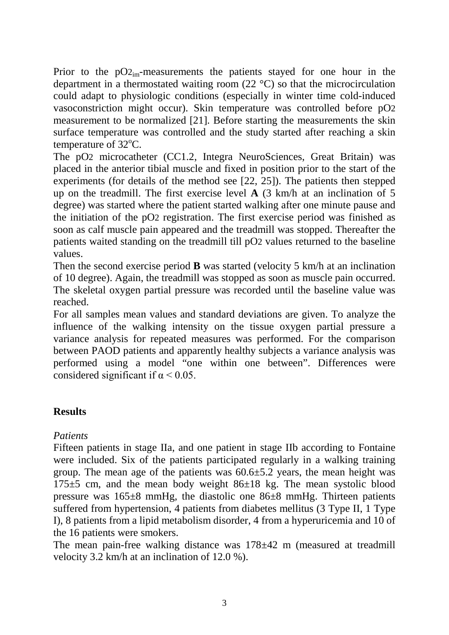Prior to the  $pO_{2m}$ -measurements the patients stayed for one hour in the department in a thermostated waiting room (22 °C) so that the microcirculation could adapt to physiologic conditions (especially in winter time cold-induced vasoconstriction might occur). Skin temperature was controlled before pO2 measurement to be normalized [21]. Before starting the measurements the skin surface temperature was controlled and the study started after reaching a skin temperature of 32°C.

The pO2 microcatheter (CC1.2, Integra NeuroSciences, Great Britain) was placed in the anterior tibial muscle and fixed in position prior to the start of the experiments (for details of the method see [22, 25]). The patients then stepped up on the treadmill. The first exercise level **A** (3 km/h at an inclination of 5 degree) was started where the patient started walking after one minute pause and the initiation of the pO2 registration. The first exercise period was finished as soon as calf muscle pain appeared and the treadmill was stopped. Thereafter the patients waited standing on the treadmill till pO2 values returned to the baseline values.

Then the second exercise period **B** was started (velocity 5 km/h at an inclination of 10 degree). Again, the treadmill was stopped as soon as muscle pain occurred. The skeletal oxygen partial pressure was recorded until the baseline value was reached.

For all samples mean values and standard deviations are given. To analyze the influence of the walking intensity on the tissue oxygen partial pressure a variance analysis for repeated measures was performed. For the comparison between PAOD patients and apparently healthy subjects a variance analysis was performed using a model "one within one between". Differences were considered significant if  $\alpha$  < 0.05.

# **Results**

# *Patients*

Fifteen patients in stage IIa, and one patient in stage IIb according to Fontaine were included. Six of the patients participated regularly in a walking training group. The mean age of the patients was  $60.6 \pm 5.2$  years, the mean height was  $175±5$  cm, and the mean body weight  $86±18$  kg. The mean systolic blood pressure was 165±8 mmHg, the diastolic one 86±8 mmHg. Thirteen patients suffered from hypertension, 4 patients from diabetes mellitus (3 Type II, 1 Type I), 8 patients from a lipid metabolism disorder, 4 from a hyperuricemia and 10 of the 16 patients were smokers.

The mean pain-free walking distance was 178±42 m (measured at treadmill velocity 3.2 km/h at an inclination of 12.0 %).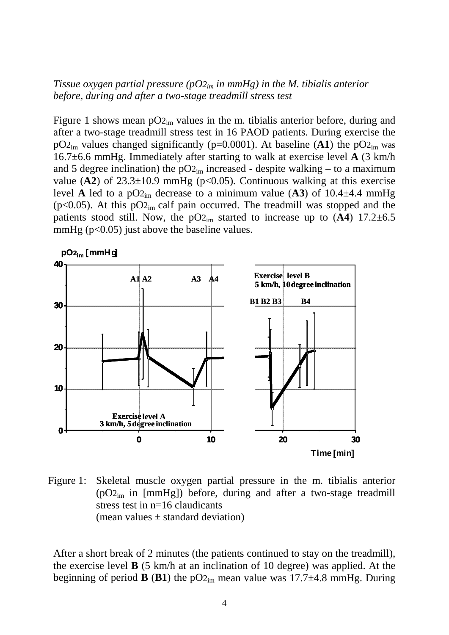#### *Tissue oxygen partial pressure*  $(pO_{2im}$  *in mmHg) in the M. tibialis anterior before, during and after a two-stage treadmill stress test*

Figure 1 shows mean  $pO_{2im}$  values in the m. tibialis anterior before, during and after a two-stage treadmill stress test in 16 PAOD patients. During exercise the  $pO_{2im}$  values changed significantly ( $p=0.0001$ ). At baseline (A1) the  $pO_{2im}$  was 16.7±6.6 mmHg. Immediately after starting to walk at exercise level **A** (3 km/h and 5 degree inclination) the  $pO_{2im}$  increased - despite walking – to a maximum value  $(A2)$  of  $23.3\pm10.9$  mmHg ( $p<0.05$ ). Continuous walking at this exercise level **A** led to a pO<sub>2im</sub> decrease to a minimum value (A3) of 10.4 $\pm$ 4.4 mmHg ( $p<0.05$ ). At this  $pO_{2im}$  calf pain occurred. The treadmill was stopped and the patients stood still. Now, the  $pO_{2im}$  started to increase up to  $(A4)$  17.2 $\pm$ 6.5 mmHg  $(p<0.05)$  just above the baseline values.



Figure 1: Skeletal muscle oxygen partial pressure in the m. tibialis anterior  $(pO_{2im}$  in [mmHg]) before, during and after a two-stage treadmill stress test in n=16 claudicants (mean values  $\pm$  standard deviation)

After a short break of 2 minutes (the patients continued to stay on the treadmill), the exercise level **B** (5 km/h at an inclination of 10 degree) was applied. At the beginning of period **B** (**B1**) the  $pO_{2m}$  mean value was 17.7 $\pm$ 4.8 mmHg. During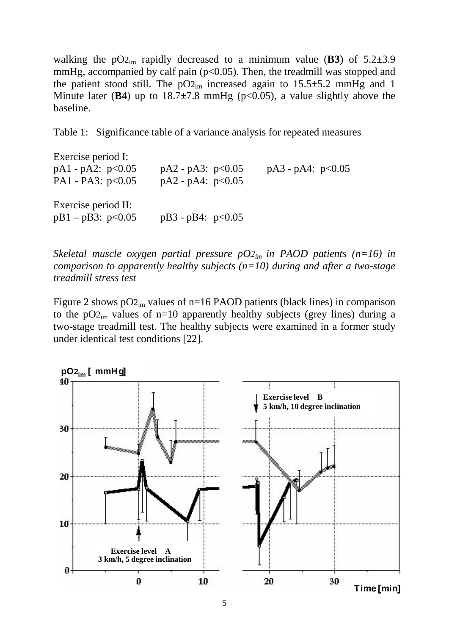walking the  $pO_{2im}$  rapidly decreased to a minimum value (**B3**) of  $5.2\pm3.9$ mmHg, accompanied by calf pain  $(p<0.05)$ . Then, the treadmill was stopped and the patient stood still. The  $pO_{2im}$  increased again to 15.5 $\pm$ 5.2 mmHg and 1 Minute later ( $\bf{B4}$ ) up to  $18.7\pm7.8$  mmHg ( $p<0.05$ ), a value slightly above the baseline.

Table 1: Significance table of a variance analysis for repeated measures

Exercise period I: pA1 - pA2:  $p<0.05$  pA2 - pA3:  $p<0.05$  pA3 - pA4:  $p<0.05$ PA1 - PA3:  $p<0.05$  pA2 -  $pA4$ :  $p<0.05$ Exercise period II: pB1 – pB3:  $p<0.05$  pB3 - pB4:  $p<0.05$ 

*Skeletal muscle oxygen partial pressure pO2im in PAOD patients (n=16) in comparison to apparently healthy subjects (n=10) during and after a two-stage treadmill stress test* 

Figure 2 shows  $pO_{2im}$  values of n=16 PAOD patients (black lines) in comparison to the  $pO_{2im}$  values of n=10 apparently healthy subjects (grey lines) during a two-stage treadmill test. The healthy subjects were examined in a former study under identical test conditions [22].

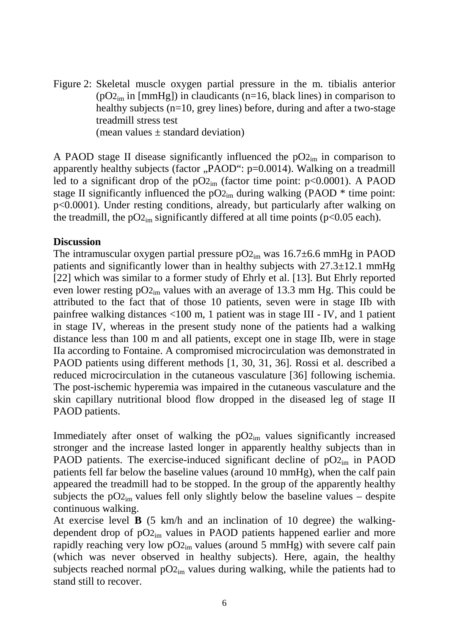Figure 2: Skeletal muscle oxygen partial pressure in the m. tibialis anterior  $(pO_{2im}$  in [mmHg]) in claudicants (n=16, black lines) in comparison to healthy subjects (n=10, grey lines) before, during and after a two-stage treadmill stress test (mean values  $\pm$  standard deviation)

A PAOD stage II disease significantly influenced the  $pO_{2\text{im}}$  in comparison to apparently healthy subjects (factor  $PAOD^{\prime\prime}$ : p=0.0014). Walking on a treadmill led to a significant drop of the  $pO_{2im}$  (factor time point:  $p<0.0001$ ). A PAOD stage II significantly influenced the  $pO_{2im}$  during walking (PAOD  $*$  time point: p<0.0001). Under resting conditions, already, but particularly after walking on the treadmill, the  $pO_{2m}$  significantly differed at all time points ( $p<0.05$  each).

#### **Discussion**

The intramuscular oxygen partial pressure  $pO_{2m}$  was 16.7 $\pm$ 6.6 mmHg in PAOD patients and significantly lower than in healthy subjects with  $27.3 \pm 12.1$  mmHg [22] which was similar to a former study of Ehrly et al. [13]. But Ehrly reported even lower resting  $pO_{2im}$  values with an average of 13.3 mm Hg. This could be attributed to the fact that of those 10 patients, seven were in stage IIb with painfree walking distances <100 m, 1 patient was in stage III - IV, and 1 patient in stage IV, whereas in the present study none of the patients had a walking distance less than 100 m and all patients, except one in stage IIb, were in stage IIa according to Fontaine. A compromised microcirculation was demonstrated in PAOD patients using different methods [1, 30, 31, 36]. Rossi et al. described a reduced microcirculation in the cutaneous vasculature [36] following ischemia. The post-ischemic hyperemia was impaired in the cutaneous vasculature and the skin capillary nutritional blood flow dropped in the diseased leg of stage II PAOD patients.

Immediately after onset of walking the  $pO_{2m}$  values significantly increased stronger and the increase lasted longer in apparently healthy subjects than in PAOD patients. The exercise-induced significant decline of  $pO_{2im}$  in PAOD patients fell far below the baseline values (around 10 mmHg), when the calf pain appeared the treadmill had to be stopped. In the group of the apparently healthy subjects the  $pO_{2im}$  values fell only slightly below the baseline values – despite continuous walking.

At exercise level **B** (5 km/h and an inclination of 10 degree) the walkingdependent drop of  $pO_{2im}$  values in PAOD patients happened earlier and more rapidly reaching very low  $pO_{2im}$  values (around 5 mmHg) with severe calf pain (which was never observed in healthy subjects). Here, again, the healthy subjects reached normal  $pO_{2m}$  values during walking, while the patients had to stand still to recover.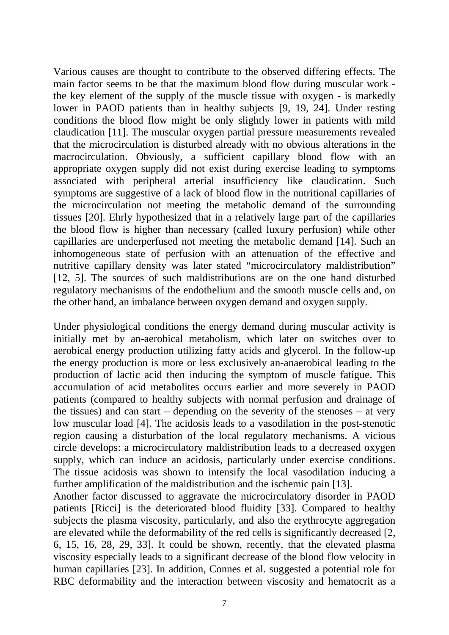Various causes are thought to contribute to the observed differing effects. The main factor seems to be that the maximum blood flow during muscular work the key element of the supply of the muscle tissue with oxygen - is markedly lower in PAOD patients than in healthy subjects [9, 19, 24]. Under resting conditions the blood flow might be only slightly lower in patients with mild claudication [11]. The muscular oxygen partial pressure measurements revealed that the microcirculation is disturbed already with no obvious alterations in the macrocirculation. Obviously, a sufficient capillary blood flow with an appropriate oxygen supply did not exist during exercise leading to symptoms associated with peripheral arterial insufficiency like claudication. Such symptoms are suggestive of a lack of blood flow in the nutritional capillaries of the microcirculation not meeting the metabolic demand of the surrounding tissues [20]. Ehrly hypothesized that in a relatively large part of the capillaries the blood flow is higher than necessary (called luxury perfusion) while other capillaries are underperfused not meeting the metabolic demand [14]. Such an inhomogeneous state of perfusion with an attenuation of the effective and nutritive capillary density was later stated "microcirculatory maldistribution" [12, 5]. The sources of such maldistributions are on the one hand disturbed regulatory mechanisms of the endothelium and the smooth muscle cells and, on the other hand, an imbalance between oxygen demand and oxygen supply.

Under physiological conditions the energy demand during muscular activity is initially met by an-aerobical metabolism, which later on switches over to aerobical energy production utilizing fatty acids and glycerol. In the follow-up the energy production is more or less exclusively an-anaerobical leading to the production of lactic acid then inducing the symptom of muscle fatigue. This accumulation of acid metabolites occurs earlier and more severely in PAOD patients (compared to healthy subjects with normal perfusion and drainage of the tissues) and can start – depending on the severity of the stenoses – at very low muscular load [4]. The acidosis leads to a vasodilation in the post-stenotic region causing a disturbation of the local regulatory mechanisms. A vicious circle develops: a microcirculatory maldistribution leads to a decreased oxygen supply, which can induce an acidosis, particularly under exercise conditions. The tissue acidosis was shown to intensify the local vasodilation inducing a further amplification of the maldistribution and the ischemic pain [13].

Another factor discussed to aggravate the microcirculatory disorder in PAOD patients [Ricci] is the deteriorated blood fluidity [33]. Compared to healthy subjects the plasma viscosity, particularly, and also the erythrocyte aggregation are elevated while the deformability of the red cells is significantly decreased [2, 6, 15, 16, 28, 29, 33]. It could be shown, recently, that the elevated plasma viscosity especially leads to a significant decrease of the blood flow velocity in human capillaries [23]. In addition, Connes et al. suggested a potential role for RBC deformability and the interaction between viscosity and hematocrit as a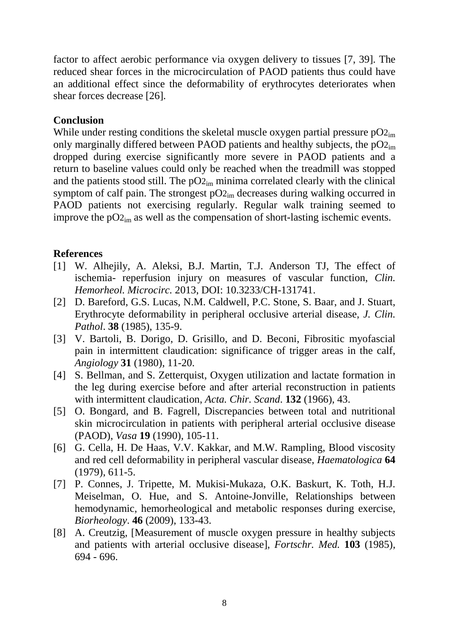factor to affect aerobic performance via oxygen delivery to tissues [7, 39]. The reduced shear forces in the microcirculation of PAOD patients thus could have an additional effect since the deformability of erythrocytes deteriorates when shear forces decrease [26].

### **Conclusion**

While under resting conditions the skeletal muscle oxygen partial pressure  $pO_{2im}$ only marginally differed between PAOD patients and healthy subjects, the  $pO_{2im}$ dropped during exercise significantly more severe in PAOD patients and a return to baseline values could only be reached when the treadmill was stopped and the patients stood still. The  $pO_{2m}$  minima correlated clearly with the clinical symptom of calf pain. The strongest  $pO_{2im}$  decreases during walking occurred in PAOD patients not exercising regularly. Regular walk training seemed to improve the  $pO_{2im}$  as well as the compensation of short-lasting ischemic events.

### **References**

- [1] W. Alhejily, A. Aleksi, B.J. Martin, T.J. Anderson TJ, The effect of ischemia- reperfusion injury on measures of vascular function, *Clin. Hemorheol. Microcirc.* 2013, DOI: 10.3233/CH-131741.
- [2] D. Bareford, G.S. Lucas, N.M. Caldwell, P.C. Stone, S. Baar, and J. Stuart, Erythrocyte deformability in peripheral occlusive arterial disease, *J. Clin. Pathol*. **38** (1985), 135-9.
- [3] V. Bartoli, B. Dorigo, D. Grisillo, and D. Beconi, Fibrositic myofascial pain in intermittent claudication: significance of trigger areas in the calf, *Angiology* **31** (1980), 11-20.
- [4] S. Bellman, and S. Zetterquist, Oxygen utilization and lactate formation in the leg during exercise before and after arterial reconstruction in patients with intermittent claudication, *Acta. Chir. Scand*. **132** (1966), 43.
- [5] O. Bongard, and B. Fagrell, Discrepancies between total and nutritional skin microcirculation in patients with peripheral arterial occlusive disease (PAOD), *Vasa* **19** (1990), 105-11.
- [6] G. Cella, H. De Haas, V.V. Kakkar, and M.W. Rampling, Blood viscosity and red cell deformability in peripheral vascular disease, *Haematologica* **64** (1979), 611-5.
- [7] P. Connes, J. Tripette, M. Mukisi-Mukaza, O.K. Baskurt, K. Toth, H.J. Meiselman, O. Hue, and S. Antoine-Jonville, Relationships between hemodynamic, hemorheological and metabolic responses during exercise, *Biorheology*. **46** (2009), 133-43.
- [8] A. Creutzig, [Measurement of muscle oxygen pressure in healthy subjects and patients with arterial occlusive disease], *Fortschr. Med.* **103** (1985), 694 - 696.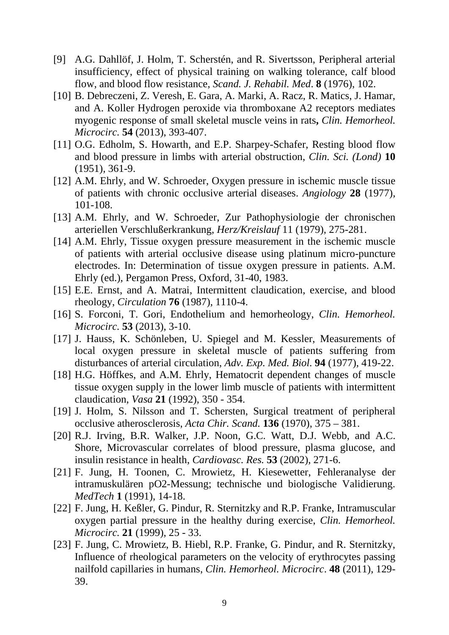- [9] A.G. Dahllöf, J. Holm, T. Scherstén, and R. Sivertsson, Peripheral arterial insufficiency, effect of physical training on walking tolerance, calf blood flow, and blood flow resistance, *Scand. J. Rehabil. Med*. **8** (1976), 102.
- [10] B. Debreczeni, Z. Veresh, E. Gara, A. Marki, A. Racz, R. Matics, J. Hamar, and A. Koller Hydrogen peroxide via thromboxane A2 receptors mediates myogenic response of small skeletal muscle veins in rats**,** *Clin. Hemorheol. Microcirc.* **54** (2013), 393-407.
- [11] O.G. Edholm, S. Howarth, and E.P. Sharpey-Schafer, Resting blood flow and blood pressure in limbs with arterial obstruction, *Clin. Sci. (Lond)* **10** (1951), 361-9.
- [12] A.M. Ehrly, and W. Schroeder, Oxygen pressure in ischemic muscle tissue of patients with chronic occlusive arterial diseases. *Angiology* **28** (1977), 101-108.
- [13] A.M. Ehrly, and W. Schroeder, Zur Pathophysiologie der chronischen arteriellen Verschlußerkrankung, *Herz/Kreislauf* 11 (1979), 275-281.
- [14] A.M. Ehrly, Tissue oxygen pressure measurement in the ischemic muscle of patients with arterial occlusive disease using platinum micro-puncture electrodes. In: Determination of tissue oxygen pressure in patients. A.M. Ehrly (ed.), Pergamon Press, Oxford, 31-40, 1983.
- [15] E.E. Ernst, and A. Matrai, Intermittent claudication, exercise, and blood rheology, *Circulation* **76** (1987), 1110-4.
- [16] S. Forconi, T. Gori, Endothelium and hemorheology, *Clin. Hemorheol. Microcirc.* **53** (2013), 3-10.
- [17] J. Hauss, K. Schönleben, U. Spiegel and M. Kessler, Measurements of local oxygen pressure in skeletal muscle of patients suffering from disturbances of arterial circulation, *Adv. Exp. Med. Biol.* **94** (1977), 419-22.
- [18] H.G. Höffkes, and A.M. Ehrly, Hematocrit dependent changes of muscle tissue oxygen supply in the lower limb muscle of patients with intermittent claudication, *Vasa* **21** (1992), 350 - 354.
- [19] J. Holm, S. Nilsson and T. Schersten, Surgical treatment of peripheral occlusive atherosclerosis, *Acta Chir. Scand.* **136** (1970), 375 – 381.
- [20] R.J. Irving, B.R. Walker, J.P. Noon, G.C. Watt, D.J. Webb, and A.C. Shore, Microvascular correlates of blood pressure, plasma glucose, and insulin resistance in health, *Cardiovasc. Res.* **53** (2002), 271-6.
- [21] F. Jung, H. Toonen, C. Mrowietz, H. Kiesewetter, Fehleranalyse der intramuskulären pO2-Messung; technische und biologische Validierung. *MedTech* **1** (1991), 14-18.
- [22] F. Jung, H. Keßler, G. Pindur, R. Sternitzky and R.P. Franke, Intramuscular oxygen partial pressure in the healthy during exercise, *Clin. Hemorheol. Microcirc.* **21** (1999), 25 - 33.
- [23] F. Jung, C. Mrowietz, B. Hiebl, R.P. Franke, G. Pindur, and R. Sternitzky, Influence of rheological parameters on the velocity of erythrocytes passing nailfold capillaries in humans, *Clin. Hemorheol. Microcirc*. **48** (2011), 129- 39.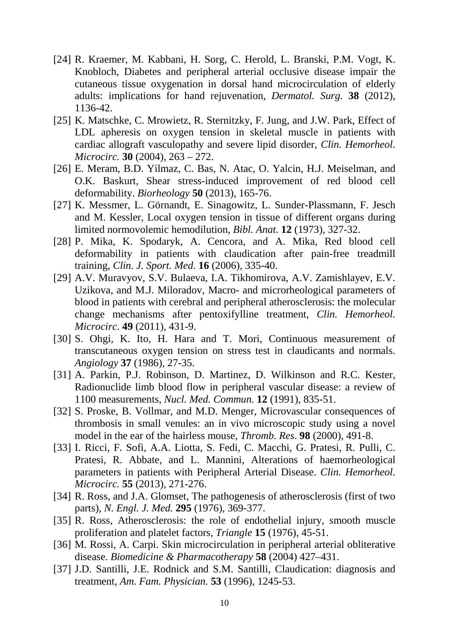- [24] R. Kraemer, M. Kabbani, H. Sorg, C. Herold, L. Branski, P.M. Vogt, K. Knobloch, Diabetes and peripheral arterial occlusive disease impair the cutaneous tissue oxygenation in dorsal hand microcirculation of elderly adults: implications for hand rejuvenation, *Dermatol. Surg.* **38** (2012), 1136-42.
- [25] K. Matschke, C. Mrowietz, R. Sternitzky, F. Jung, and J.W. Park, Effect of LDL apheresis on oxygen tension in skeletal muscle in patients with cardiac allograft vasculopathy and severe lipid disorder, *Clin. Hemorheol. Microcirc.* **30** (2004), 263 – 272.
- [26] E. Meram, B.D. Yilmaz, C. Bas, N. Atac, O. Yalcin, H.J. Meiselman, and O.K. Baskurt, Shear stress-induced improvement of red blood cell deformability. *Biorheology* **50** (2013), 165-76.
- [27] K. Messmer, L. Görnandt, E. Sinagowitz, L. Sunder-Plassmann, F. Jesch and M. Kessler, Local oxygen tension in tissue of different organs during limited normovolemic hemodilution, *Bibl. Anat.* **12** (1973), 327-32.
- [28] P. Mika, K. Spodaryk, A. Cencora, and A. Mika, Red blood cell deformability in patients with claudication after pain-free treadmill training, *Clin. J. Sport. Med.* **16** (2006), 335-40.
- [29] A.V. Muravyov, S.V. Bulaeva, I.A. Tikhomirova, A.V. Zamishlayev, E.V. Uzikova, and M.J. Miloradov, Macro- and microrheological parameters of blood in patients with cerebral and peripheral atherosclerosis: the molecular change mechanisms after pentoxifylline treatment, *Clin. Hemorheol. Microcirc*. **49** (2011), 431-9.
- [30] S. Ohgi, K. Ito, H. Hara and T. Mori, Continuous measurement of transcutaneous oxygen tension on stress test in claudicants and normals. *Angiology* **37** (1986), 27-35.
- [31] A. Parkin, P.J. Robinson, D. Martinez, D. Wilkinson and R.C. Kester, Radionuclide limb blood flow in peripheral vascular disease: a review of 1100 measurements, *Nucl. Med. Commun.* **12** (1991), 835-51.
- [32] S. Proske, B. Vollmar, and M.D. Menger, Microvascular consequences of thrombosis in small venules: an in vivo microscopic study using a novel model in the ear of the hairless mouse, *Thromb. Res*. **98** (2000), 491-8.
- [33] I. Ricci, F. Sofi, A.A. Liotta, S. Fedi, C. Macchi, G. Pratesi, R. Pulli, C. Pratesi, R. Abbate, and L. Mannini, Alterations of haemorheological parameters in patients with Peripheral Arterial Disease. *Clin. Hemorheol. Microcirc.* **55** (2013), 271-276.
- [34] R. Ross, and J.A. Glomset, The pathogenesis of atherosclerosis (first of two parts), *N. Engl. J. Med.* **295** (1976), 369-377.
- [35] R. Ross, Atherosclerosis: the role of endothelial injury, smooth muscle proliferation and platelet factors, *Triangle* **15** (1976), 45-51.
- [36] M. Rossi, A. Carpi. Skin microcirculation in peripheral arterial obliterative disease. *Biomedicine & Pharmacotherapy* **58** (2004) 427–431.
- [37] J.D. Santilli, J.E. Rodnick and S.M. Santilli, Claudication: diagnosis and treatment, *Am. Fam. Physician.* **53** (1996), 1245-53.